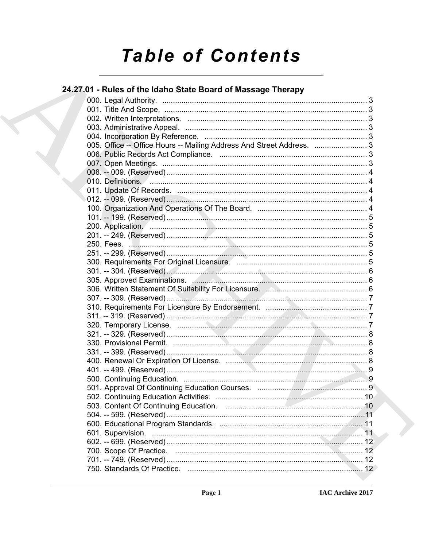# **Table of Contents**

# 24.27.01 - Rules of the Idaho State Board of Massage Therapy

| 005. Office -- Office Hours -- Mailing Address And Street Address.  3 |  |
|-----------------------------------------------------------------------|--|
|                                                                       |  |
|                                                                       |  |
|                                                                       |  |
|                                                                       |  |
|                                                                       |  |
|                                                                       |  |
|                                                                       |  |
|                                                                       |  |
| 200. Application. 5                                                   |  |
|                                                                       |  |
|                                                                       |  |
|                                                                       |  |
|                                                                       |  |
|                                                                       |  |
|                                                                       |  |
|                                                                       |  |
|                                                                       |  |
|                                                                       |  |
|                                                                       |  |
|                                                                       |  |
|                                                                       |  |
|                                                                       |  |
|                                                                       |  |
|                                                                       |  |
|                                                                       |  |
|                                                                       |  |
|                                                                       |  |
|                                                                       |  |
|                                                                       |  |
|                                                                       |  |
|                                                                       |  |
|                                                                       |  |
|                                                                       |  |
|                                                                       |  |
|                                                                       |  |
|                                                                       |  |
|                                                                       |  |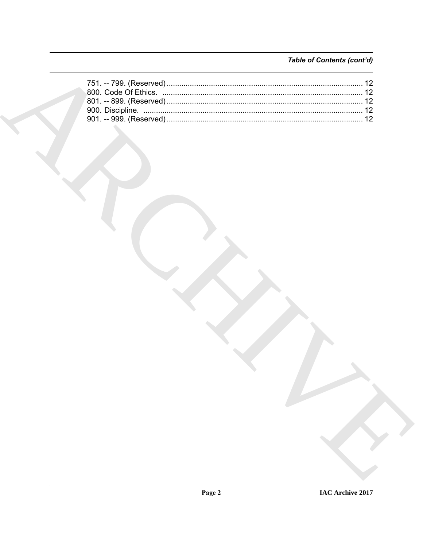# Table of Contents (cont'd)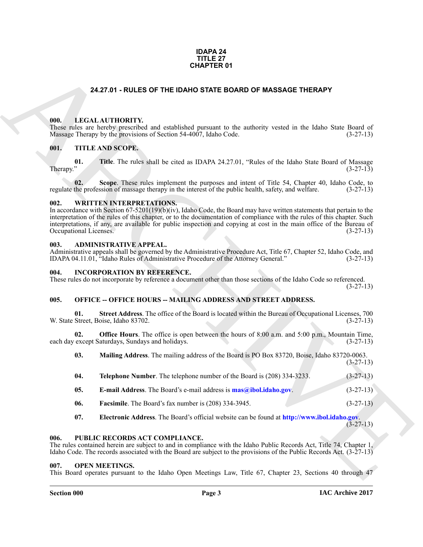## **IDAPA 24 TITLE 27 CHAPTER 01**

# **24.27.01 - RULES OF THE IDAHO STATE BOARD OF MASSAGE THERAPY**

# <span id="page-2-1"></span><span id="page-2-0"></span>**000. LEGAL AUTHORITY.**

These rules are hereby prescribed and established pursuant to the authority vested in the Idaho State Board of Massage Therapy by the provisions of Section 54-4007, Idaho Code. (3-27-13)

# <span id="page-2-2"></span>**001. TITLE AND SCOPE.**

**01.** Title. The rules shall be cited as IDAPA 24.27.01, "Rules of the Idaho State Board of Massage (3-27-13)  $(3-27-13)$ 

**02.** Scope. These rules implement the purposes and intent of Title 54, Chapter 40, Idaho Code, to the profession of massage therapy in the interest of the public health, safety, and welfare. (3-27-13) regulate the profession of massage therapy in the interest of the public health, safety, and welfare.

# <span id="page-2-3"></span>**002. WRITTEN INTERPRETATIONS.**

**EALT OF THE USATO STATE BOARD OF MASSAGE THERAPY**<br> **CALCATIONITY:** and existings persuan in the unitarity vessel in the Islam Sam Band of<br>
Mass<sup>2</sup> (Every 19), Signature of vested statistics persuan in the unitarity vesse In accordance with Section 67-5201(19)(b)(iv), Idaho Code, the Board may have written statements that pertain to the interpretation of the rules of this chapter, or to the documentation of compliance with the rules of this chapter. Such interpretations, if any, are available for public inspection and copying at cost in the main office of the Bureau of Occupational Licenses.

## <span id="page-2-4"></span>**003. ADMINISTRATIVE APPEAL.**

Administrative appeals shall be governed by the Administrative Procedure Act, Title 67, Chapter 52, Idaho Code, and IDAPA 04.11.01, "Idaho Rules of Administrative Procedure of the Attorney General." (3-27-13) IDAPA 04.11.01, "Idaho Rules of Administrative Procedure of the Attorney General."

## <span id="page-2-5"></span>**004. INCORPORATION BY REFERENCE.**

These rules do not incorporate by reference a document other than those sections of the Idaho Code so referenced. (3-27-13)

# <span id="page-2-6"></span>005. OFFICE -- OFFICE HOURS -- MAILING ADDRESS AND STREET ADDRESS.

**01. Street Address**. The office of the Board is located within the Bureau of Occupational Licenses, 700 Street, Boise, Idaho 83702. (3-27-13) W. State Street, Boise, Idaho 83702.

**02. Office Hours**. The office is open between the hours of 8:00 a.m. and 5:00 p.m., Mountain Time, each day except Saturdays, Sundays and holidays. (3-27-13)

**03. Mailing Address**. The mailing address of the Board is PO Box 83720, Boise, Idaho 83720-0063. (3-27-13) **04. Telephone Number**. The telephone number of the Board is (208) 334-3233. (3-27-13)

- **05. E-mail Address**. The Board's e-mail address is **mas@ibol.idaho.gov**. (3-27-13)
- **06. Facsimile**. The Board's fax number is (208) 334-3945. (3-27-13)
- <span id="page-2-10"></span>**07. Electronic Address**. The Board's official website can be found at **http://www.ibol.idaho.gov**.

(3-27-13)

### <span id="page-2-7"></span>**006. PUBLIC RECORDS ACT COMPLIANCE.**

The rules contained herein are subject to and in compliance with the Idaho Public Records Act, Title 74, Chapter 1, Idaho Code. The records associated with the Board are subject to the provisions of the Public Records Act. (3-27-13)

### <span id="page-2-9"></span><span id="page-2-8"></span>**007. OPEN MEETINGS.**

This Board operates pursuant to the Idaho Open Meetings Law, Title 67, Chapter 23, Sections 40 through 47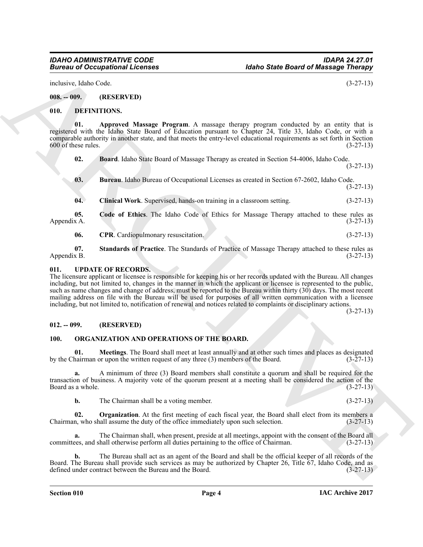inclusive, Idaho Code. (3-27-13)

<span id="page-3-0"></span>**008. -- 009. (RESERVED)**

# <span id="page-3-5"></span><span id="page-3-1"></span>**010. DEFINITIONS.**

**01. Approved Massage Program**. A massage therapy program conducted by an entity that is registered with the Idaho State Board of Education pursuant to Chapter 24, Title 33, Idaho Code, or with a comparable authority in another state, and that meets the entry-level educational requirements as set forth in Section  $600$  of these rules.  $(3-27-13)$ 

<span id="page-3-7"></span><span id="page-3-6"></span>**02. Board**. Idaho State Board of Massage Therapy as created in Section 54-4006, Idaho Code.

(3-27-13)

<span id="page-3-9"></span><span id="page-3-8"></span>**03. Bureau**. Idaho Bureau of Occupational Licenses as created in Section 67-2602, Idaho Code. (3-27-13)

<span id="page-3-10"></span>**04. Clinical Work**. Supervised, hands-on training in a classroom setting. (3-27-13)

**05.** Code of Ethics. The Idaho Code of Ethics for Massage Therapy attached to these rules as Appendix A. (3-27-13) Appendix A. (3-27-13)

<span id="page-3-12"></span><span id="page-3-11"></span>**06.** CPR. Cardiopulmonary resuscitation. (3-27-13)

**07.** Standards of Practice. The Standards of Practice of Massage Therapy attached to these rules as Appendix B. (3-27-13) Appendix B. (3-27-13)

# <span id="page-3-16"></span><span id="page-3-2"></span>**011. UPDATE OF RECORDS.**

**Eurosis of Occupations I. February 1988**<br>
1983. (a) Contained State Board of Maximized English and the state of the state of the state of the state of the state of the state of the state of the state of the state of the The licensure applicant or licensee is responsible for keeping his or her records updated with the Bureau. All changes including, but not limited to, changes in the manner in which the applicant or licensee is represented to the public, such as name changes and change of address, must be reported to the Bureau within thirty (30) days. The most recent mailing address on file with the Bureau will be used for purposes of all written communication with a licensee including, but not limited to, notification of renewal and notices related to complaints or disciplinary actions.

(3-27-13)

# <span id="page-3-3"></span>**012. -- 099. (RESERVED)**

# <span id="page-3-14"></span><span id="page-3-13"></span><span id="page-3-4"></span>**100. ORGANIZATION AND OPERATIONS OF THE BOARD.**

**01. Meetings**. The Board shall meet at least annually and at other such times and places as designated hairman or upon the written request of any three (3) members of the Board. (3-27-13) by the Chairman or upon the written request of any three  $(3)$  members of the Board.

**a.** A minimum of three (3) Board members shall constitute a quorum and shall be required for the transaction of business. A majority vote of the quorum present at a meeting shall be considered the action of the Board as a whole. (3-27-13) Board as a whole.

<span id="page-3-15"></span>**b.** The Chairman shall be a voting member. (3-27-13)

**02. Organization**. At the first meeting of each fiscal year, the Board shall elect from its members a m, who shall assume the duty of the office immediately upon such selection. (3-27-13) Chairman, who shall assume the duty of the office immediately upon such selection.

The Chairman shall, when present, preside at all meetings, appoint with the consent of the Board all hall otherwise perform all duties pertaining to the office of Chairman. (3-27-13) committees, and shall otherwise perform all duties pertaining to the office of Chairman.

**b.** The Bureau shall act as an agent of the Board and shall be the official keeper of all records of the Board. The Bureau shall provide such services as may be authorized by Chapter 26, Title 67, Idaho Code, and as defined under contract between the Bureau and the Board. (3-27-13) defined under contract between the Bureau and the Board.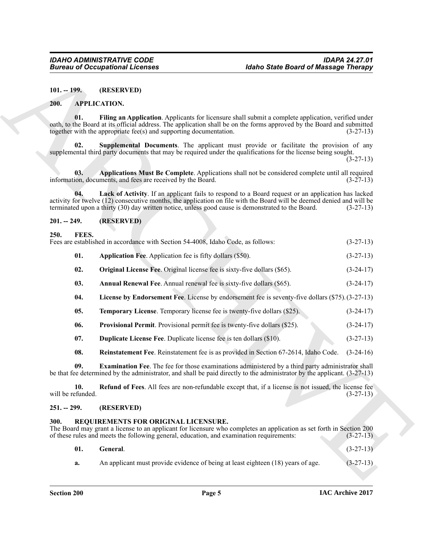## <span id="page-4-10"></span><span id="page-4-8"></span><span id="page-4-6"></span><span id="page-4-1"></span><span id="page-4-0"></span>**200. APPLICATION.**

# <span id="page-4-9"></span><span id="page-4-7"></span><span id="page-4-2"></span>**201. -- 249. (RESERVED)**

# <span id="page-4-21"></span><span id="page-4-18"></span><span id="page-4-17"></span><span id="page-4-16"></span><span id="page-4-13"></span><span id="page-4-12"></span><span id="page-4-11"></span><span id="page-4-3"></span>250. **FEES.**<br>Fees are establis

|                          | <b>Bureau of Occupational Licenses</b>                                                                                                                                                                                                                                                                                           | <b>Idaho State Board of Massage Therapy</b> |  |  |
|--------------------------|----------------------------------------------------------------------------------------------------------------------------------------------------------------------------------------------------------------------------------------------------------------------------------------------------------------------------------|---------------------------------------------|--|--|
| $101. - 199.$            | (RESERVED)                                                                                                                                                                                                                                                                                                                       |                                             |  |  |
| <b>200.</b>              | <b>APPLICATION.</b>                                                                                                                                                                                                                                                                                                              |                                             |  |  |
| 01.                      | Filing an Application. Applicants for licensure shall submit a complete application, verified under<br>oath, to the Board at its official address. The application shall be on the forms approved by the Board and submitted<br>together with the appropriate fee(s) and supporting documentation.                               | $(3-27-13)$                                 |  |  |
| 02.                      | Supplemental Documents. The applicant must provide or facilitate the provision of any<br>supplemental third party documents that may be required under the qualifications for the license being sought.                                                                                                                          | $(3-27-13)$                                 |  |  |
| 03.                      | Applications Must Be Complete. Applications shall not be considered complete until all required<br>information, documents, and fees are received by the Board.                                                                                                                                                                   | $(3-27-13)$                                 |  |  |
| 04.                      | Lack of Activity. If an applicant fails to respond to a Board request or an application has lacked<br>activity for twelve (12) consecutive months, the application on file with the Board will be deemed denied and will be<br>terminated upon a thirty (30) day written notice, unless good cause is demonstrated to the Board. | $(3-27-13)$                                 |  |  |
| $201. - 249.$            | (RESERVED)                                                                                                                                                                                                                                                                                                                       |                                             |  |  |
| 250.<br><b>FEES.</b>     | Fees are established in accordance with Section 54-4008, Idaho Code, as follows:                                                                                                                                                                                                                                                 | $(3-27-13)$                                 |  |  |
| 01.                      | <b>Application Fee.</b> Application fee is fifty dollars (\$50).                                                                                                                                                                                                                                                                 | $(3-27-13)$                                 |  |  |
| 02.                      | Original License Fee. Original license fee is sixty-five dollars (\$65).                                                                                                                                                                                                                                                         | $(3-24-17)$                                 |  |  |
| 03.                      | Annual Renewal Fee. Annual renewal fee is sixty-five dollars (\$65).                                                                                                                                                                                                                                                             | $(3-24-17)$                                 |  |  |
| 04.                      | License by Endorsement Fee. License by endorsement fee is seventy-five dollars (\$75). (3-27-13)                                                                                                                                                                                                                                 |                                             |  |  |
| 05.                      | Temporary License. Temporary license fee is twenty-five dollars (\$25).                                                                                                                                                                                                                                                          | $(3-24-17)$                                 |  |  |
| 06.                      | <b>Provisional Permit.</b> Provisional permit fee is twenty-five dollars (\$25).                                                                                                                                                                                                                                                 | $(3-24-17)$                                 |  |  |
| 07.                      | <b>Duplicate License Fee.</b> Duplicate license fee is ten dollars (\$10).                                                                                                                                                                                                                                                       | $(3-27-13)$                                 |  |  |
| 08.                      | Reinstatement Fee. Reinstatement fee is as provided in Section 67-2614, Idaho Code.                                                                                                                                                                                                                                              | $(3-24-16)$                                 |  |  |
| 09.                      | Examination Fee. The fee for those examinations administered by a third party administrator shall<br>be that fee determined by the administrator, and shall be paid directly to the administrator by the applicant. (3-27-13)                                                                                                    |                                             |  |  |
| 10.<br>will be refunded. | <b>Refund of Fees.</b> All fees are non-refundable except that, if a license is not issued, the license fee                                                                                                                                                                                                                      | $(3-27-13)$                                 |  |  |
| $251. - 299.$            | (RESERVED)                                                                                                                                                                                                                                                                                                                       |                                             |  |  |
| 300.                     | REQUIREMENTS FOR ORIGINAL LICENSURE.<br>The Board may grant a license to an applicant for licensure who completes an application as set forth in Section 200<br>of these rules and meets the following general, education, and examination requirements:                                                                         | $(3-27-13)$                                 |  |  |
| 01.                      | General.                                                                                                                                                                                                                                                                                                                         | $(3-27-13)$                                 |  |  |
| a.                       | An applicant must provide evidence of being at least eighteen (18) years of age.                                                                                                                                                                                                                                                 | $(3-27-13)$                                 |  |  |

# <span id="page-4-20"></span><span id="page-4-19"></span><span id="page-4-15"></span><span id="page-4-14"></span><span id="page-4-4"></span>**251. -- 299. (RESERVED)**

# <span id="page-4-22"></span><span id="page-4-5"></span>**300. REQUIREMENTS FOR ORIGINAL LICENSURE.**

<span id="page-4-23"></span>

| 01. General. | $(3-27-13)$ |
|--------------|-------------|
|              |             |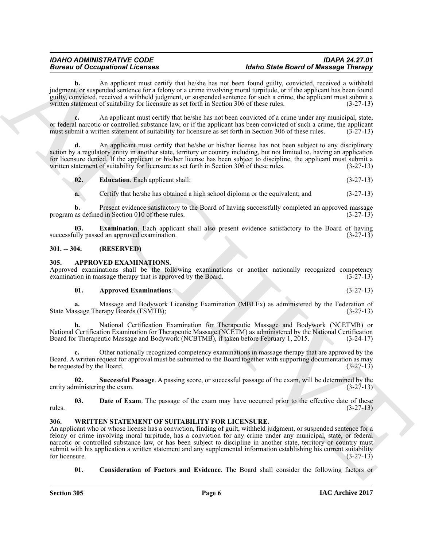**b.** An applicant must certify that he/she has not been found guilty, convicted, received a withheld judgment, or suspended sentence for a felony or a crime involving moral turpitude, or if the applicant has been found guilty, convicted, received a withheld judgment, or suspended sentence for such a crime, the applicant must submit a written statement of suitability for licensure as set forth in Section 306 of these rules. (3-27-13)

**c.** An applicant must certify that he/she has not been convicted of a crime under any municipal, state, or federal narcotic or controlled substance law, or if the applicant has been convicted of such a crime, the applicant must submit a written statement of suitability for licensure as set forth in Section 306 of these rules. (3-27-13)

**d.** An applicant must certify that he/she or his/her license has not been subject to any disciplinary action by a regulatory entity in another state, territory or country including, but not limited to, having an application for licensure denied. If the applicant or his/her license has been subject to discipline, the applicant must submit a written statement of suitability for licensure as set forth in Section 306 of these rules.  $(3-27-13)$ written statement of suitability for licensure as set forth in Section 306 of these rules.

<span id="page-5-6"></span>**02. Education**. Each applicant shall: (3-27-13)

<span id="page-5-7"></span>**a.** Certify that he/she has obtained a high school diploma or the equivalent; and  $(3-27-13)$ 

**b.** Present evidence satisfactory to the Board of having successfully completed an approved massage as defined in Section 010 of these rules.  $(3-27-13)$ program as defined in Section 010 of these rules.

**03. Examination**. Each applicant shall also present evidence satisfactory to the Board of having ally passed an approved examination. (3-27-13) successfully passed an approved examination.

# <span id="page-5-0"></span>**301. -- 304. (RESERVED)**

# <span id="page-5-3"></span><span id="page-5-1"></span>**305. APPROVED EXAMINATIONS.**

Approved examinations shall be the following examinations or another nationally recognized competency examination in massage therapy that is approved by the Board. (3-27-13) examination in massage therapy that is approved by the Board.

# **01. Approved Examinations**. (3-27-13)

**a.** Massage and Bodywork Licensing Examination (MBLEx) as administered by the Federation of State Massage Therapy Boards (FSMTB); (3-27-13)

**b.** National Certification Examination for Therapeutic Massage and Bodywork (NCETMB) or National Certification Examination for Therapeutic Massage (NCETM) as administered by the National Certification Board for Therapeutic Massage and Bodywork (NCBTMB), if taken before February 1, 2015. (3-24-17)

**c.** Other nationally recognized competency examinations in massage therapy that are approved by the Board. A written request for approval must be submitted to the Board together with supporting documentation as may be requested by the Board. (3-27-13)

<span id="page-5-5"></span>**02.** Successful Passage. A passing score, or successful passage of the exam, will be determined by the ministering the exam.  $(3-27-13)$ entity administering the exam.

<span id="page-5-4"></span>**03. Date of Exam**. The passage of the exam may have occurred prior to the effective date of these rules. (3-27-13)

# <span id="page-5-8"></span><span id="page-5-2"></span>**306. WRITTEN STATEMENT OF SUITABILITY FOR LICENSURE.**

**Europe and Conception Excelsion and the same state and the same of the Based of Musicipal Philosopher Conception and the same of the same of the same of the same of the same of the same of the same of the same of the sam** An applicant who or whose license has a conviction, finding of guilt, withheld judgment, or suspended sentence for a felony or crime involving moral turpitude, has a conviction for any crime under any municipal, state, or federal narcotic or controlled substance law, or has been subject to discipline in another state, territory or country must submit with his application a written statement and any supplemental information establishing his current suitability<br>for licensure. (3-27-13) for licensure.  $(3-27-13)$ 

<span id="page-5-9"></span>**01. Consideration of Factors and Evidence**. The Board shall consider the following factors or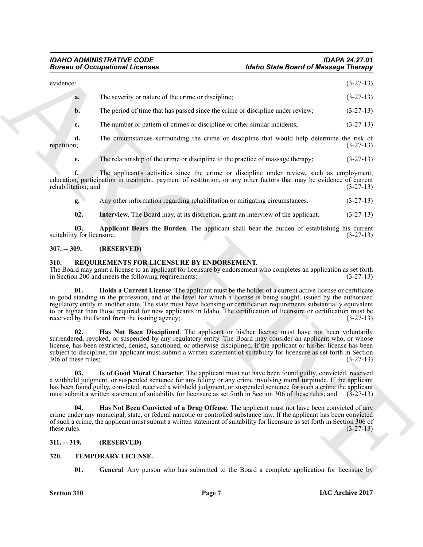# *IDAHO ADMINISTRATIVE CODE IDAPA 24.27.01 Idaho State Board of Massage Therapy*

|                                   | <b>Bureau of Occupational Licenses</b>                                                                                                                                                                                                                                                                                                                                                                                                                                                                                            | <b>Idaho State Board of Massage Therapy</b> |  |
|-----------------------------------|-----------------------------------------------------------------------------------------------------------------------------------------------------------------------------------------------------------------------------------------------------------------------------------------------------------------------------------------------------------------------------------------------------------------------------------------------------------------------------------------------------------------------------------|---------------------------------------------|--|
| evidence:                         |                                                                                                                                                                                                                                                                                                                                                                                                                                                                                                                                   | $(3-27-13)$                                 |  |
| a.                                | The severity or nature of the crime or discipline;                                                                                                                                                                                                                                                                                                                                                                                                                                                                                | $(3-27-13)$                                 |  |
| $\mathbf{b}$ .                    | The period of time that has passed since the crime or discipline under review;                                                                                                                                                                                                                                                                                                                                                                                                                                                    | $(3-27-13)$                                 |  |
| c.                                | The number or pattern of crimes or discipline or other similar incidents;                                                                                                                                                                                                                                                                                                                                                                                                                                                         | $(3-27-13)$                                 |  |
| d.<br>repetition;                 | The circumstances surrounding the crime or discipline that would help determine the risk of                                                                                                                                                                                                                                                                                                                                                                                                                                       | $(3-27-13)$                                 |  |
| e.                                | The relationship of the crime or discipline to the practice of massage therapy;                                                                                                                                                                                                                                                                                                                                                                                                                                                   | $(3-27-13)$                                 |  |
| f.<br>rehabilitation; and         | The applicant's activities since the crime or discipline under review, such as employment,<br>education, participation in treatment, payment of restitution, or any other factors that may be evidence of current                                                                                                                                                                                                                                                                                                                 | $(3-27-13)$                                 |  |
| g.                                | Any other information regarding rehabilitation or mitigating circumstances.                                                                                                                                                                                                                                                                                                                                                                                                                                                       | $(3-27-13)$                                 |  |
| 02.                               | Interview. The Board may, at its discretion, grant an interview of the applicant.                                                                                                                                                                                                                                                                                                                                                                                                                                                 | $(3-27-13)$                                 |  |
| 03.<br>suitability for licensure. | Applicant Bears the Burden. The applicant shall bear the burden of establishing his current                                                                                                                                                                                                                                                                                                                                                                                                                                       | $(3-27-13)$                                 |  |
| $307. - 309.$                     | (RESERVED)                                                                                                                                                                                                                                                                                                                                                                                                                                                                                                                        |                                             |  |
| 310.                              | REQUIREMENTS FOR LICENSURE BY ENDORSEMENT.<br>The Board may grant a license to an applicant for licensure by endorsement who completes an application as set forth<br>in Section 200 and meets the following requirements:                                                                                                                                                                                                                                                                                                        | $(3-27-13)$                                 |  |
| 01.                               | Holds a Current License. The applicant must be the holder of a current active license or certificate<br>in good standing in the profession, and at the level for which a license is being sought, issued by the authorized<br>regulatory entity in another state. The state must have licensing or certification requirements substantially equivalent<br>to or higher than those required for new applicants in Idaho. The certification of licensure or certification must be<br>received by the Board from the issuing agency; | $(3-27-13)$                                 |  |
| 02.<br>306 of these rules;        | Has Not Been Disciplined. The applicant or his/her license must have not been voluntarily<br>surrendered, revoked, or suspended by any regulatory entity. The Board may consider an applicant who, or whose<br>license, has been restricted, denied, sanctioned, or otherwise disciplined. If the applicant or his/her license has been<br>subject to discipline, the applicant must submit a written statement of suitability for licensure as set forth in Section                                                              | $(3-27-13)$                                 |  |
| 03.                               | Is of Good Moral Character. The applicant must not have been found guilty, convicted, received<br>a withheld judgment, or suspended sentence for any felony or any crime involving moral turpitude. If the applicant<br>has been found guilty, convicted, received a withheld judgment, or suspended sentence for such a crime the applicant<br>must submit a written statement of suitability for licensure as set forth in Section 306 of these rules; and                                                                      | $(3-27-13)$                                 |  |
| 04.<br>these rules.               | Has Not Been Convicted of a Drug Offense. The applicant must not have been convicted of any<br>crime under any municipal, state, or federal narcotic or controlled substance law. If the applicant has been convicted<br>of such a crime, the applicant must submit a written statement of suitability for licensure as set forth in Section 306 of                                                                                                                                                                               | $(3-27-13)$                                 |  |
| $311. - 319.$                     | (RESERVED)                                                                                                                                                                                                                                                                                                                                                                                                                                                                                                                        |                                             |  |
| 320.                              | TEMPORARY LICENSE.                                                                                                                                                                                                                                                                                                                                                                                                                                                                                                                |                                             |  |
|                                   |                                                                                                                                                                                                                                                                                                                                                                                                                                                                                                                                   |                                             |  |

# <span id="page-6-12"></span><span id="page-6-11"></span><span id="page-6-0"></span>**307. -- 309. (RESERVED)**

# <span id="page-6-7"></span><span id="page-6-6"></span><span id="page-6-4"></span><span id="page-6-1"></span>**310. REQUIREMENTS FOR LICENSURE BY ENDORSEMENT.**

# <span id="page-6-8"></span><span id="page-6-5"></span><span id="page-6-2"></span>**311. -- 319. (RESERVED)**

# <span id="page-6-10"></span><span id="page-6-9"></span><span id="page-6-3"></span>**320. TEMPORARY LICENSE.**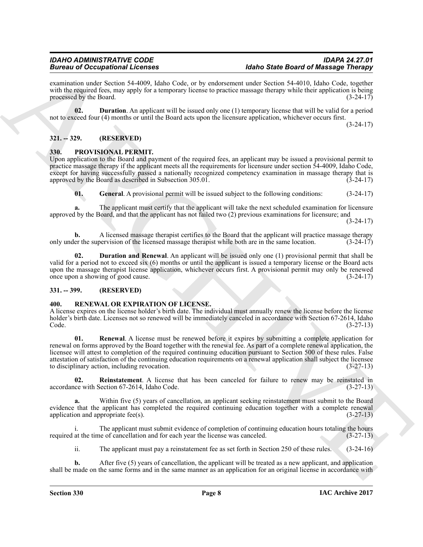examination under Section 54-4009, Idaho Code, or by endorsement under Section 54-4010, Idaho Code, together with the required fees, may apply for a temporary license to practice massage therapy while their application is being<br>processed by the Board. (3-24-17) processed by the Board.

<span id="page-7-10"></span>**02. Duration**. An applicant will be issued only one (1) temporary license that will be valid for a period not to exceed four (4) months or until the Board acts upon the licensure application, whichever occurs first.

(3-24-17)

# <span id="page-7-0"></span>**321. -- 329. (RESERVED)**

# <span id="page-7-4"></span><span id="page-7-1"></span>**330. PROVISIONAL PERMIT.**

Upon application to the Board and payment of the required fees, an applicant may be issued a provisional permit to practice massage therapy if the applicant meets all the requirements for licensure under section 54-4009, Idaho Code, except for having successfully passed a nationally recognized competency examination in massage therapy that is approved by the Board as described in Subsection 305.01. (3-24-17)

<span id="page-7-6"></span>**01. General**. A provisional permit will be issued subject to the following conditions: (3-24-17)

**a.** The applicant must certify that the applicant will take the next scheduled examination for licensure approved by the Board, and that the applicant has not failed two (2) previous examinations for licensure; and

(3-24-17)

**b.** A licensed massage therapist certifies to the Board that the applicant will practice massage therapy er the supervision of the licensed massage therapist while both are in the same location. (3-24-17) only under the supervision of the licensed massage therapist while both are in the same location.

<span id="page-7-5"></span>**02. Duration and Renewal**. An applicant will be issued only one (1) provisional permit that shall be valid for a period not to exceed six (6) months or until the applicant is issued a temporary license or the Board acts upon the massage therapist license application, whichever occurs first. A provisional permit may only be renewed<br>once upon a showing of good cause. (3-24-17) once upon a showing of good cause.

# <span id="page-7-2"></span>**331. -- 399. (RESERVED)**

# <span id="page-7-7"></span><span id="page-7-3"></span>**400. RENEWAL OR EXPIRATION OF LICENSE.**

<span id="page-7-9"></span>A license expires on the license holder's birth date. The individual must annually renew the license before the license holder's birth date. Licenses not so renewed will be immediately canceled in accordance with Section 67-2614, Idaho<br>(3-27-13) Code. (3-27-13)

**Example 20 Cocagion and Theorems**<br> **Example 200 Cocagion and Example 200 <b>Cocagion and Example 200 Cocagion and Cocagion and Cocagion and Cocagion and Cocagion and Cocagion and Cocagion and Cocagion and Cocagion and 01. Renewal**. A license must be renewed before it expires by submitting a complete application for renewal on forms approved by the Board together with the renewal fee. As part of a complete renewal application, the licensee will attest to completion of the required continuing education pursuant to Section 500 of these rules. False attestation of satisfaction of the continuing education requirements on a renewal application shall subject the licensee to disciplinary action, including revocation. (3-27-13)

<span id="page-7-8"></span>**02.** Reinstatement. A license that has been canceled for failure to renew may be reinstated in (3-27-13) (3-27-13) accordance with Section 67-2614, Idaho Code.

Within five (5) years of cancellation, an applicant seeking reinstatement must submit to the Board evidence that the applicant has completed the required continuing education together with a complete renewal application and appropriate fee(s). (3-27-13) application and appropriate fee $(s)$ .

i. The applicant must submit evidence of completion of continuing education hours totaling the hours required at the time of cancellation and for each year the license was canceled. (3-27-13)

ii. The applicant must pay a reinstatement fee as set forth in Section 250 of these rules. (3-24-16)

**b.** After five (5) years of cancellation, the applicant will be treated as a new applicant, and application shall be made on the same forms and in the same manner as an application for an original license in accordance with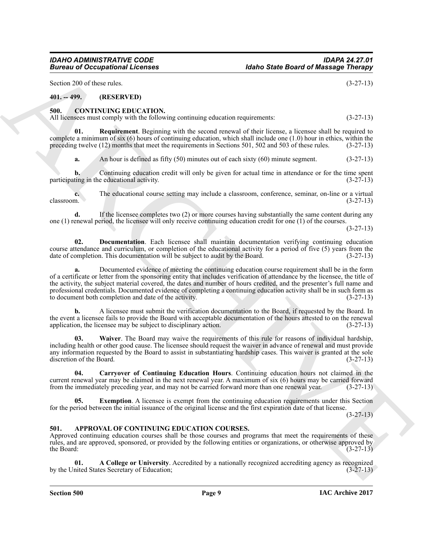Section 200 of these rules. (3-27-13)

# <span id="page-8-0"></span>**401. -- 499. (RESERVED)**

# <span id="page-8-5"></span><span id="page-8-1"></span>**500. CONTINUING EDUCATION.**

All licensees must comply with the following continuing education requirements:  $(3-27-13)$ 

**Requirement**. Beginning with the second renewal of their license, a licensee shall be required to complete a minimum of six (6) hours of continuing education, which shall include one (1.0) hour in ethics, within the preceding twelve (12) months that meet the requirements in Sections 501, 502 and 503 of these rules. (3-27-13)

<span id="page-8-9"></span>**a.** An hour is defined as fifty (50) minutes out of each sixty (60) minute segment. (3-27-13)

**b.** Continuing education credit will only be given for actual time in attendance or for the time spent participating in the educational activity. (3-27-13)

**c.** The educational course setting may include a classroom, conference, seminar, on-line or a virtual classroom.  $(3-27-13)$  $\alpha$ classroom. (3-27-13)

**d.** If the licensee completes two (2) or more courses having substantially the same content during any one (1) renewal period, the licensee will only receive continuing education credit for one (1) of the courses.

(3-27-13)

<span id="page-8-7"></span>**02. Documentation**. Each licensee shall maintain documentation verifying continuing education course attendance and curriculum, or completion of the educational activity for a period of five (5) years from the date of completion. This documentation will be subject to audit by the Board. (3-27-13) date of completion. This documentation will be subject to audit by the Board.

**Example 20** Comparisons *Licences* **(see Section of Massage Thomas**)<br>
Structure 200, (a) EXP. (1) Comparisons (example) and the example of the example of the example of the example of the example of the example of the ex **a.** Documented evidence of meeting the continuing education course requirement shall be in the form of a certificate or letter from the sponsoring entity that includes verification of attendance by the licensee, the title of the activity, the subject material covered, the dates and number of hours credited, and the presenter's full name and professional credentials. Documented evidence of completing a continuing education activity shall be in such form as<br>to document both completion and date of the activity. (3-27-13) to document both completion and date of the activity.

**b.** A licensee must submit the verification documentation to the Board, if requested by the Board. In the event a licensee fails to provide the Board with acceptable documentation of the hours aftested to on the renewal application, the licensee may be subject to disciplinary action. (3-27-13) application, the licensee may be subject to disciplinary action.

<span id="page-8-10"></span>**03. Waiver**. The Board may waive the requirements of this rule for reasons of individual hardship, including health or other good cause. The licensee should request the waiver in advance of renewal and must provide any information requested by the Board to assist in substantiating hardship cases. This waiver is granted at the sole discretion of the Board. (3-27-13) discretion of the Board.

<span id="page-8-6"></span>**04. Carryover of Continuing Education Hours**. Continuing education hours not claimed in the current renewal year may be claimed in the next renewal year. A maximum of six (6) hours may be carried forward from the immediately preceding year, and may not be carried forward more than one renewal year. (3-27-13) from the immediately preceding year, and may not be carried forward more than one renewal year.

<span id="page-8-8"></span>**05.** Exemption. A licensee is exempt from the continuing education requirements under this Section for the period between the initial issuance of the original license and the first expiration date of that license.

 $(3-27-13)$ 

# <span id="page-8-3"></span><span id="page-8-2"></span>**501. APPROVAL OF CONTINUING EDUCATION COURSES.**

Approved continuing education courses shall be those courses and programs that meet the requirements of these rules, and are approved, sponsored, or provided by the following entities or organizations, or otherwise approved by the Board: (3-27-13) the Board:  $(3-27-13)$ 

<span id="page-8-4"></span>**01. A College or University**. Accredited by a nationally recognized accrediting agency as recognized nited States Secretary of Education; (3-27-13) by the United States Secretary of Education;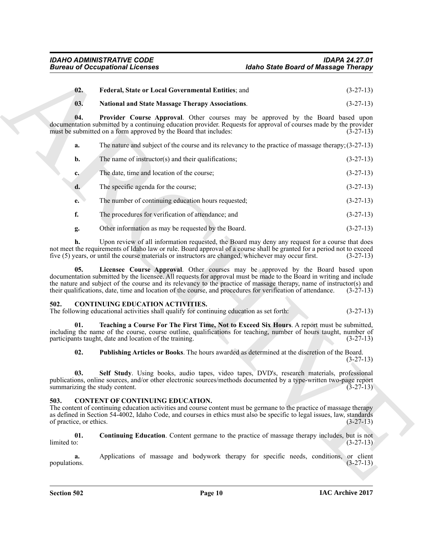<span id="page-9-5"></span><span id="page-9-4"></span><span id="page-9-2"></span>

| 02.                | <b>Federal, State or Local Governmental Entities: and</b> | $(3-27-13)$ |
|--------------------|-----------------------------------------------------------|-------------|
| $\blacksquare$ 03. | <b>National and State Massage Therapy Associations.</b>   | $(3-27-13)$ |

| <b>Bureau of Occupational Licenses</b>                                                                                                                                                                                                                                                                                                                                                                                                               |                                                                                                                                                                                                                                                                                                                                   | <b>Idaho State Board of Massage Therapy</b> |             |
|------------------------------------------------------------------------------------------------------------------------------------------------------------------------------------------------------------------------------------------------------------------------------------------------------------------------------------------------------------------------------------------------------------------------------------------------------|-----------------------------------------------------------------------------------------------------------------------------------------------------------------------------------------------------------------------------------------------------------------------------------------------------------------------------------|---------------------------------------------|-------------|
| 02.                                                                                                                                                                                                                                                                                                                                                                                                                                                  | Federal, State or Local Governmental Entities; and                                                                                                                                                                                                                                                                                |                                             | $(3-27-13)$ |
| 03.                                                                                                                                                                                                                                                                                                                                                                                                                                                  | <b>National and State Massage Therapy Associations.</b>                                                                                                                                                                                                                                                                           |                                             | $(3-27-13)$ |
| 04.                                                                                                                                                                                                                                                                                                                                                                                                                                                  | Provider Course Approval. Other courses may be approved by the Board based upon<br>documentation submitted by a continuing education provider. Requests for approval of courses made by the provider<br>must be submitted on a form approved by the Board that includes:                                                          |                                             | $(3-27-13)$ |
| a.                                                                                                                                                                                                                                                                                                                                                                                                                                                   | The nature and subject of the course and its relevancy to the practice of massage therapy; $(3-27-13)$                                                                                                                                                                                                                            |                                             |             |
| b.                                                                                                                                                                                                                                                                                                                                                                                                                                                   | The name of instructor( $s$ ) and their qualifications;                                                                                                                                                                                                                                                                           |                                             | $(3-27-13)$ |
| $c_{\star}$                                                                                                                                                                                                                                                                                                                                                                                                                                          | The date, time and location of the course;                                                                                                                                                                                                                                                                                        |                                             | $(3-27-13)$ |
| d.                                                                                                                                                                                                                                                                                                                                                                                                                                                   | The specific agenda for the course;                                                                                                                                                                                                                                                                                               |                                             | $(3-27-13)$ |
| е.                                                                                                                                                                                                                                                                                                                                                                                                                                                   | The number of continuing education hours requested;                                                                                                                                                                                                                                                                               |                                             | $(3-27-13)$ |
| f.                                                                                                                                                                                                                                                                                                                                                                                                                                                   | The procedures for verification of attendance; and                                                                                                                                                                                                                                                                                |                                             | $(3-27-13)$ |
| g.                                                                                                                                                                                                                                                                                                                                                                                                                                                   | Other information as may be requested by the Board.                                                                                                                                                                                                                                                                               |                                             | $(3-27-13)$ |
| h.                                                                                                                                                                                                                                                                                                                                                                                                                                                   | Upon review of all information requested, the Board may deny any request for a course that does<br>not meet the requirements of Idaho law or rule. Board approval of a course shall be granted for a period not to exceed<br>five (5) years, or until the course materials or instructors are changed, whichever may occur first. |                                             | $(3-27-13)$ |
| Licensee Course Approval. Other courses may be approved by the Board based upon<br>05.<br>documentation submitted by the licensee. All requests for approval must be made to the Board in writing and include<br>the nature and subject of the course and its relevancy to the practice of massage therapy, name of instructor(s) and<br>their qualifications, date, time and location of the course, and procedures for verification of attendance. |                                                                                                                                                                                                                                                                                                                                   |                                             | $(3-27-13)$ |
| 502.                                                                                                                                                                                                                                                                                                                                                                                                                                                 | <b>CONTINUING EDUCATION ACTIVITIES.</b><br>The following educational activities shall qualify for continuing education as set forth:                                                                                                                                                                                              |                                             | $(3-27-13)$ |
| 01.                                                                                                                                                                                                                                                                                                                                                                                                                                                  | Teaching a Course For The First Time, Not to Exceed Six Hours. A report must be submitted,<br>including the name of the course, course outline, qualifications for teaching, number of hours taught, number of<br>participants taught, date and location of the training.                                                         |                                             | $(3-27-13)$ |
| 02.                                                                                                                                                                                                                                                                                                                                                                                                                                                  | Publishing Articles or Books. The hours awarded as determined at the discretion of the Board.                                                                                                                                                                                                                                     |                                             | $(3-27-13)$ |
| 03.<br>summarizing the study content.                                                                                                                                                                                                                                                                                                                                                                                                                | Self Study. Using books, audio tapes, video tapes, DVD's, research materials, professional<br>publications, online sources, and/or other electronic sources/methods documented by a type-written two-page report                                                                                                                  |                                             | $(3-27-13)$ |
| CONTENT OF CONTINUING EDUCATION.<br>503.<br>The content of continuing education activities and course content must be germane to the practice of massage therapy<br>as defined in Section 54-4002, Idaho Code, and courses in ethics must also be specific to legal issues, law, standards<br>of practice, or ethics.                                                                                                                                |                                                                                                                                                                                                                                                                                                                                   |                                             | $(3-27-13)$ |
| 01.<br>limited to:                                                                                                                                                                                                                                                                                                                                                                                                                                   | Continuing Education. Content germane to the practice of massage therapy includes, but is not                                                                                                                                                                                                                                     |                                             | $(3-27-13)$ |
| a.<br>populations.                                                                                                                                                                                                                                                                                                                                                                                                                                   | Applications of massage and bodywork therapy for specific needs, conditions, or client                                                                                                                                                                                                                                            |                                             | $(3-27-13)$ |
|                                                                                                                                                                                                                                                                                                                                                                                                                                                      |                                                                                                                                                                                                                                                                                                                                   |                                             |             |

# <span id="page-9-11"></span><span id="page-9-9"></span><span id="page-9-8"></span><span id="page-9-3"></span><span id="page-9-0"></span>**502. CONTINUING EDUCATION ACTIVITIES.**

# <span id="page-9-10"></span><span id="page-9-7"></span><span id="page-9-6"></span><span id="page-9-1"></span>**503. CONTENT OF CONTINUING EDUCATION.**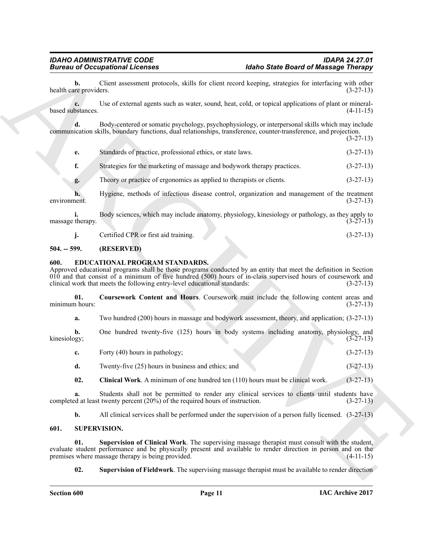(3-27-13)

**b.** Client assessment protocols, skills for client record keeping, strategies for interfacing with other reproviders.  $(3-27-13)$ health care providers.

**c.** Use of external agents such as water, sound, heat, cold, or topical applications of plant or mineralbased substances. (4-11-15)

**d.** Body-centered or somatic psychology, psychophysiology, or interpersonal skills which may include communication skills, boundary functions, dual relationships, transference, counter-transference, and projection.

| Standards of practice, professional ethics, or state laws. | $(3-27-13)$ |
|------------------------------------------------------------|-------------|

**f.** Strategies for the marketing of massage and bodywork therapy practices. (3-27-13)

**g.** Theory or practice of ergonomics as applied to therapists or clients. (3-27-13)

**h.** Hygiene, methods of infectious disease control, organization and management of the treatment (3-27-13) environment. (3-27-13)

**i.** Body sciences, which may include anatomy, physiology, kinesiology or pathology, as they apply to massage therapy.  $(3-27-13)$ 

<span id="page-10-3"></span>**j.** Certified CPR or first aid training. (3-27-13)

# <span id="page-10-0"></span>**504. -- 599. (RESERVED)**

# <span id="page-10-1"></span>**600. EDUCATIONAL PROGRAM STANDARDS.**

**Bureau of Occupations I. February 1681 and 2016 Barrel Barrel of Missingic Thiongy<br>
health cale good that the state of the containing the state of the containing state of the state of the containing the containing the co** Approved educational programs shall be those programs conducted by an entity that meet the definition in Section 010 and that consist of a minimum of five hundred (500) hours of in-class supervised hours of coursework and clinical work that meets the following entry-level educational standards: (3-27-13)

**01.** Coursework Content and Hours. Coursework must include the following content areas and n hours: (3-27-13) minimum hours:

<span id="page-10-5"></span>**a.** Two hundred (200) hours in massage and bodywork assessment, theory, and application; (3-27-13)

**b.** One hundred twenty-five (125) hours in body systems including anatomy, physiology, and kinesiology; (3-27-13) kinesiology; (3-27-13)

| Forty (40) hours in pathology; |  | $(3-27-13)$ |
|--------------------------------|--|-------------|
|                                |  |             |

**d.** Twenty-five (25) hours in business and ethics; and (3-27-13)

<span id="page-10-4"></span>**02.** Clinical Work. A minimum of one hundred ten (110) hours must be clinical work. (3-27-13)

**a.** Students shall not be permitted to render any clinical services to clients until students have d at least twenty percent (20%) of the required hours of instruction. (3-27-13) completed at least twenty percent  $(20\%)$  of the required hours of instruction.

<span id="page-10-7"></span><span id="page-10-6"></span>**b.** All clinical services shall be performed under the supervision of a person fully licensed.  $(3-27-13)$ 

# <span id="page-10-2"></span>**601. SUPERVISION.**

**01. Supervision of Clinical Work**. The supervising massage therapist must consult with the student, evaluate student performance and be physically present and available to render direction in person and on the premises where massage therapy is being provided. (4-11-15) premises where massage therapy is being provided.

<span id="page-10-8"></span>**02. Supervision of Fieldwork**. The supervising massage therapist must be available to render direction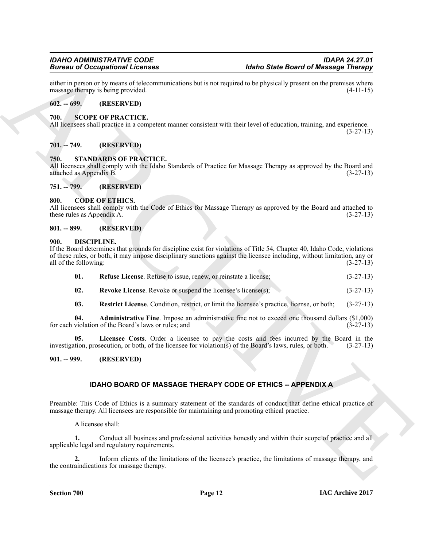either in person or by means of telecommunications but is not required to be physically present on the premises where massage therapy is being provided. (4-11-15) massage therapy is being provided.

# <span id="page-11-0"></span>**602. -- 699. (RESERVED)**

# <span id="page-11-16"></span><span id="page-11-1"></span>**700. SCOPE OF PRACTICE.**

All licensees shall practice in a competent manner consistent with their level of education, training, and experience. (3-27-13)

# <span id="page-11-2"></span>**701. -- 749. (RESERVED)**

# <span id="page-11-17"></span><span id="page-11-3"></span>**750. STANDARDS OF PRACTICE.**

All licensees shall comply with the Idaho Standards of Practice for Massage Therapy as approved by the Board and attached as Appendix B. (3-27-13) attached as Appendix B. (3-27-13)

<span id="page-11-4"></span>**751. -- 799. (RESERVED)**

# <span id="page-11-9"></span><span id="page-11-5"></span>**800. CODE OF ETHICS.**

All licensees shall comply with the Code of Ethics for Massage Therapy as approved by the Board and attached to these rules as Appendix A. (3-27-13) these rules as Appendix A.

# <span id="page-11-6"></span>**801. -- 899. (RESERVED)**

# <span id="page-11-10"></span><span id="page-11-7"></span>**900. DISCIPLINE.**

**Example 20 Comparison in Liensens**<br>
School and *RC* parameteristics but a net conced to be phrased to the set of Maximizer intervalse of the set of the set of the set of the set of the set of the set of the set of the se If the Board determines that grounds for discipline exist for violations of Title 54, Chapter 40, Idaho Code, violations of these rules, or both, it may impose disciplinary sanctions against the licensee including, without limitation, any or all of the following:  $(3-27-13)$ all of the following:

<span id="page-11-13"></span>

| 01. | <b>Refuse License</b> . Refuse to issue, renew, or reinstate a license; |  |  |  | $(3-27-13)$ |
|-----|-------------------------------------------------------------------------|--|--|--|-------------|
|-----|-------------------------------------------------------------------------|--|--|--|-------------|

- <span id="page-11-15"></span>**02.** Revoke License. Revoke or suspend the licensee's license(s); (3-27-13)
- <span id="page-11-14"></span><span id="page-11-12"></span><span id="page-11-11"></span>**03. Restrict License**. Condition, restrict, or limit the licensee's practice, license, or both; (3-27-13)

**04. Administrative Fine**. Impose an administrative fine not to exceed one thousand dollars (\$1,000) for each violation of the Board's laws or rules; and

**05.** Licensee Costs. Order a licensee to pay the costs and fees incurred by the Board in the tion, prosecution, or both, of the licensee for violation(s) of the Board's laws, rules, or both. (3-27-13) investigation, prosecution, or both, of the licensee for violation(s) of the Board's laws, rules, or both.

# <span id="page-11-8"></span>**901. -- 999. (RESERVED)**

# **IDAHO BOARD OF MASSAGE THERAPY CODE OF ETHICS -- APPENDIX A**

Preamble: This Code of Ethics is a summary statement of the standards of conduct that define ethical practice of massage therapy. All licensees are responsible for maintaining and promoting ethical practice.

A licensee shall:

**1.** Conduct all business and professional activities honestly and within their scope of practice and all applicable legal and regulatory requirements.

**2.** Inform clients of the limitations of the licensee's practice, the limitations of massage therapy, and the contraindications for massage therapy.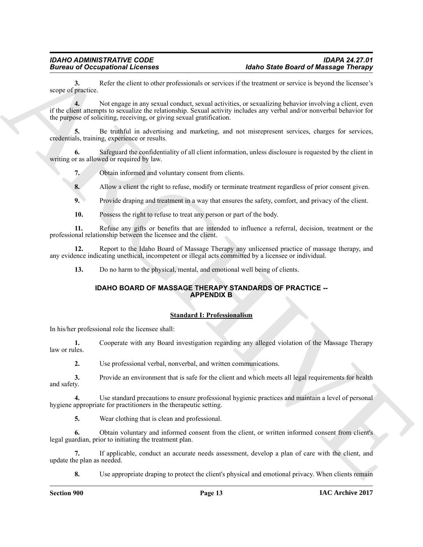**3.** Refer the client to other professionals or services if the treatment or service is beyond the licensee's scope of practice.

**Europe of Alexandromia Licensins**<br> **Europe of Alexandromia Licensins**<br> **Europe of Alexandromia Licensins** is a set of alternation of the United State Based of Maximization Control in<br> **EVALUATION ARCHIVE EXECUTION CO 4.** Not engage in any sexual conduct, sexual activities, or sexualizing behavior involving a client, even if the client attempts to sexualize the relationship. Sexual activity includes any verbal and/or nonverbal behavior for the purpose of soliciting, receiving, or giving sexual gratification.

**5.** Be truthful in advertising and marketing, and not misrepresent services, charges for services, credentials, training, experience or results.

**6.** Safeguard the confidentiality of all client information, unless disclosure is requested by the client in writing or as allowed or required by law.

**7.** Obtain informed and voluntary consent from clients.

**8.** Allow a client the right to refuse, modify or terminate treatment regardless of prior consent given.

**9.** Provide draping and treatment in a way that ensures the safety, comfort, and privacy of the client.

**10.** Possess the right to refuse to treat any person or part of the body.

**11.** Refuse any gifts or benefits that are intended to influence a referral, decision, treatment or the professional relationship between the licensee and the client.

**12.** Report to the Idaho Board of Massage Therapy any unlicensed practice of massage therapy, and any evidence indicating unethical, incompetent or illegal acts committed by a licensee or individual.

**13.** Do no harm to the physical, mental, and emotional well being of clients.

# **IDAHO BOARD OF MASSAGE THERAPY STANDARDS OF PRACTICE -- APPENDIX B**

# **Standard I: Professionalism**

In his/her professional role the licensee shall:

**1.** Cooperate with any Board investigation regarding any alleged violation of the Massage Therapy law or rules.

**2.** Use professional verbal, nonverbal, and written communications.

**3.** Provide an environment that is safe for the client and which meets all legal requirements for health and safety.

**4.** Use standard precautions to ensure professional hygienic practices and maintain a level of personal hygiene appropriate for practitioners in the therapeutic setting.

**5.** Wear clothing that is clean and professional.

**6.** Obtain voluntary and informed consent from the client, or written informed consent from client's legal guardian, prior to initiating the treatment plan.

**7.** If applicable, conduct an accurate needs assessment, develop a plan of care with the client, and update the plan as needed.

**8.** Use appropriate draping to protect the client's physical and emotional privacy. When clients remain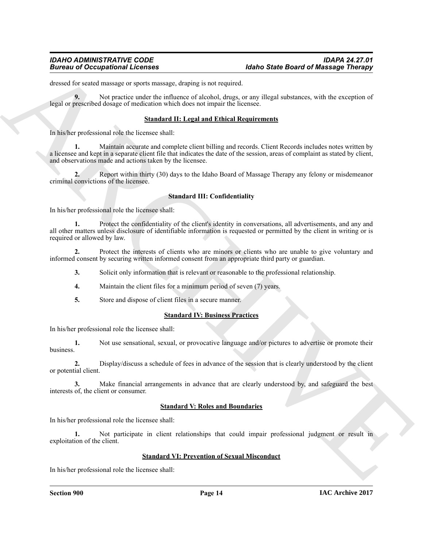# *IDAHO ADMINISTRATIVE CODE IDAPA 24.27.01 Idaho State Board of Massage Therapy*

dressed for seated massage or sports massage, draping is not required.

**9.** Not practice under the influence of alcohol, drugs, or any illegal substances, with the exception of legal or prescribed dosage of medication which does not impair the licensee.

# **Standard II: Legal and Ethical Requirements**

In his/her professional role the licensee shall:

**1.** Maintain accurate and complete client billing and records. Client Records includes notes written by a licensee and kept in a separate client file that indicates the date of the session, areas of complaint as stated by client, and observations made and actions taken by the licensee.

**2.** Report within thirty (30) days to the Idaho Board of Massage Therapy any felony or misdemeanor criminal convictions of the licensee.

# **Standard III: Confidentiality**

In his/her professional role the licensee shall:

**Biomato of Occupations I Licenses**<br> **Mathe State Based of Maximizers**<br> **Mathematics of the state of the state of the state of the state of the state of the state of the state of the state of the state of the state of the 1.** Protect the confidentiality of the client's identity in conversations, all advertisements, and any and all other matters unless disclosure of identifiable information is requested or permitted by the client in writing or is required or allowed by law.

**2.** Protect the interests of clients who are minors or clients who are unable to give voluntary and informed consent by securing written informed consent from an appropriate third party or guardian.

- **3.** Solicit only information that is relevant or reasonable to the professional relationship.
- **4.** Maintain the client files for a minimum period of seven (7) years.
- **5.** Store and dispose of client files in a secure manner.

# **Standard IV: Business Practices**

In his/her professional role the licensee shall:

**1.** Not use sensational, sexual, or provocative language and/or pictures to advertise or promote their business.

**2.** Display/discuss a schedule of fees in advance of the session that is clearly understood by the client or potential client.

**3.** Make financial arrangements in advance that are clearly understood by, and safeguard the best interests of, the client or consumer.

# **Standard V: Roles and Boundaries**

In his/her professional role the licensee shall:

**1.** Not participate in client relationships that could impair professional judgment or result in exploitation of the client.

# **Standard VI: Prevention of Sexual Misconduct**

In his/her professional role the licensee shall: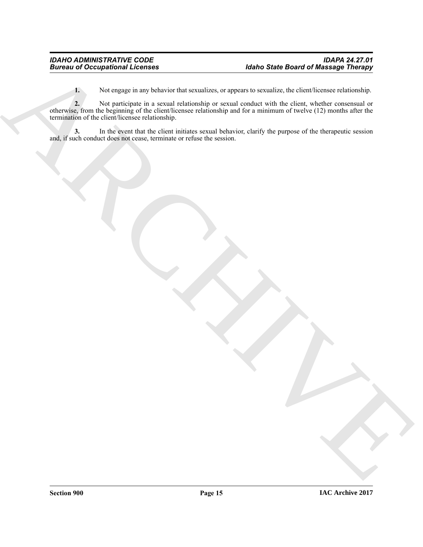**1.** Not engage in any behavior that sexualizes, or appears to sexualize, the client/licensee relationship.

Bureau of Occupational Licensins<br>
Let the company to a special subscribes company on a special subscribes the structure relationships<br>
The company of the structure of the company of the company of the company of the compan **2.** Not participate in a sexual relationship or sexual conduct with the client, whether consensual or otherwise, from the beginning of the client/licensee relationship and for a minimum of twelve (12) months after the termination of the client/licensee relationship.

**3.** In the event that the client initiates sexual behavior, clarify the purpose of the therapeutic session and, if such conduct does not cease, terminate or refuse the session.